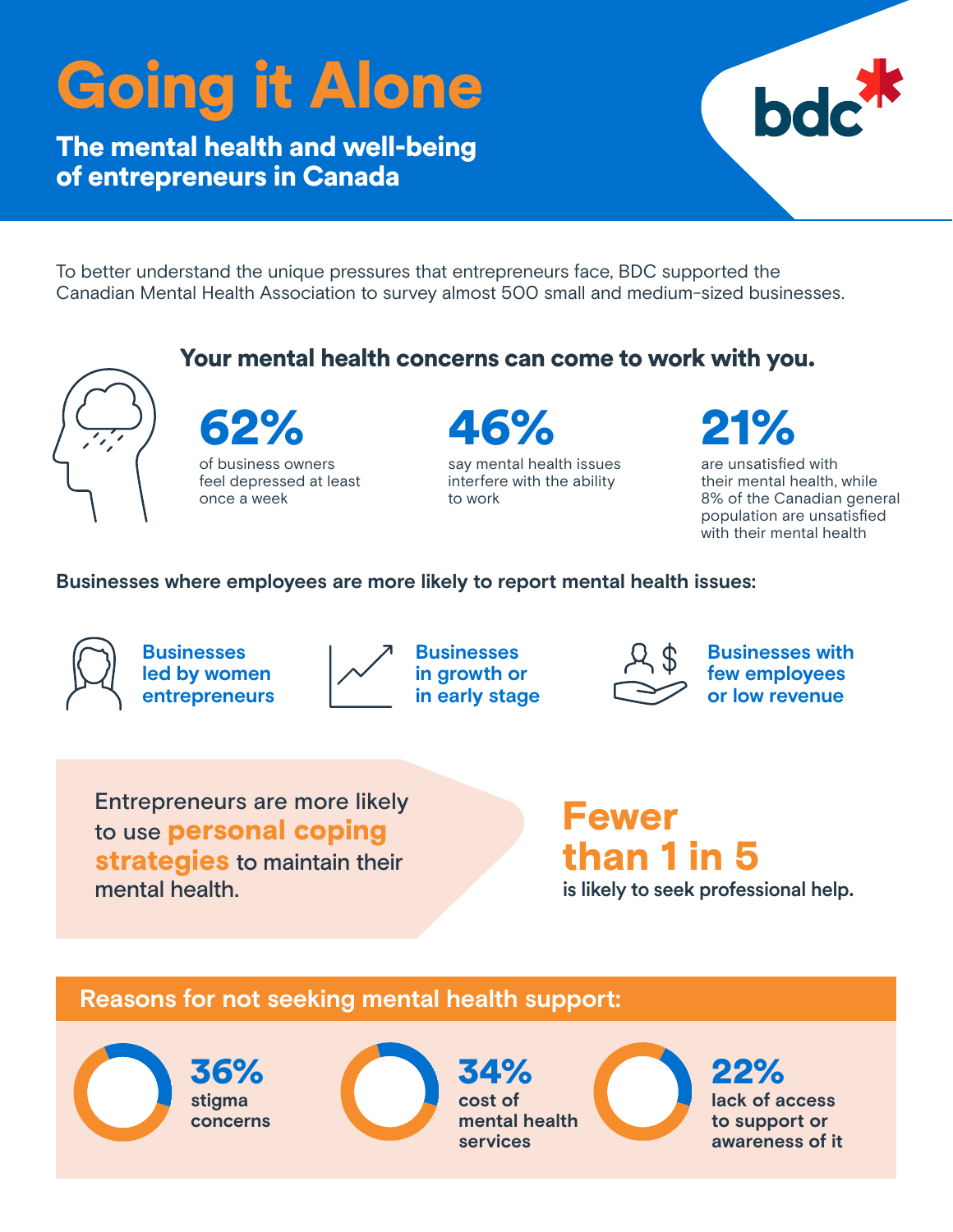# Going it Alone

The mental health and well-being of entrepreneurs in Canada



To better understand the unique pressures that entrepreneurs face, BDC supported the Canadian Mental Health Association to survey almost 500 small and medium-sized businesses.



Entrepreneurs are more likely to use personal coping strategies to maintain their mental health.

## Fewer than 1 in 5

is likely to seek professional help.

### **Reasons for not seeking mental health support:**